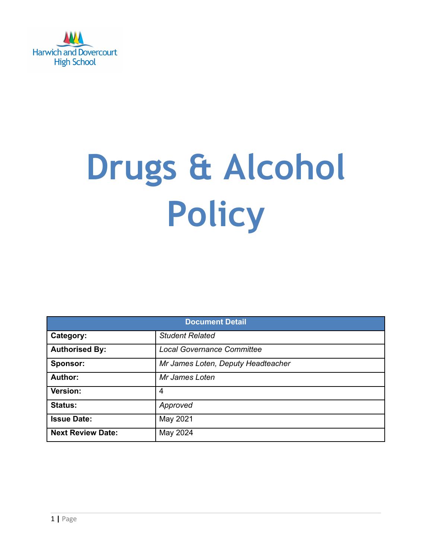

# **Drugs & Alcohol Policy**

| <b>Document Detail</b>   |                                    |  |  |  |
|--------------------------|------------------------------------|--|--|--|
| Category:                | <b>Student Related</b>             |  |  |  |
| <b>Authorised By:</b>    | <b>Local Governance Committee</b>  |  |  |  |
| Sponsor:                 | Mr James Loten, Deputy Headteacher |  |  |  |
| Author:                  | Mr James Loten                     |  |  |  |
| Version:                 | 4                                  |  |  |  |
| <b>Status:</b>           | Approved                           |  |  |  |
| <b>Issue Date:</b>       | May 2021                           |  |  |  |
| <b>Next Review Date:</b> | May 2024                           |  |  |  |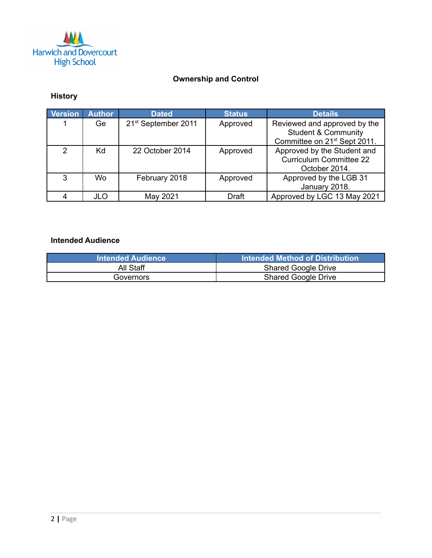

## **Ownership and Control**

# **History**

| <b>Version</b> | <b>Author</b> | <b>Dated</b>                    | <b>Status</b> | <b>Details</b>                           |
|----------------|---------------|---------------------------------|---------------|------------------------------------------|
|                | Ge            | 21 <sup>st</sup> September 2011 | Approved      | Reviewed and approved by the             |
|                |               |                                 |               | <b>Student &amp; Community</b>           |
|                |               |                                 |               | Committee on 21 <sup>st</sup> Sept 2011. |
| $\mathcal{P}$  | Kd            | 22 October 2014                 | Approved      | Approved by the Student and              |
|                |               |                                 |               | <b>Curriculum Committee 22</b>           |
|                |               |                                 |               | October 2014.                            |
| 3              | Wo            | February 2018                   | Approved      | Approved by the LGB 31                   |
|                |               |                                 |               | January 2018.                            |
|                | <b>JLO</b>    | May 2021                        | Draft         | Approved by LGC 13 May 2021              |

## **Intended Audience**

| <b>Intended Audience</b> |                            |
|--------------------------|----------------------------|
| All Staff                | <b>Shared Google Drive</b> |
| Governors                | <b>Shared Google Drive</b> |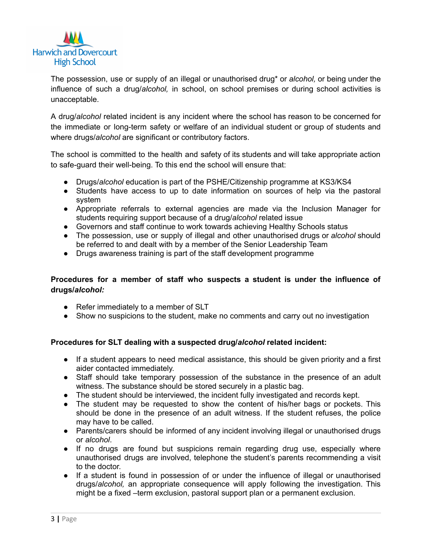

The possession, use or supply of an illegal or unauthorised drug\* or *alcohol,* or being under the influence of such a drug/*alcohol,* in school, on school premises or during school activities is unacceptable.

A drug/*alcohol* related incident is any incident where the school has reason to be concerned for the immediate or long-term safety or welfare of an individual student or group of students and where drugs/*alcohol* are significant or contributory factors.

The school is committed to the health and safety of its students and will take appropriate action to safe-guard their well-being. To this end the school will ensure that:

- Drugs/*alcohol* education is part of the PSHE/Citizenship programme at KS3/KS4
- Students have access to up to date information on sources of help via the pastoral system
- Appropriate referrals to external agencies are made via the Inclusion Manager for students requiring support because of a drug/*alcohol* related issue
- Governors and staff continue to work towards achieving Healthy Schools status
- The possession, use or supply of illegal and other unauthorised drugs or *alcohol* should be referred to and dealt with by a member of the Senior Leadership Team
- Drugs awareness training is part of the staff development programme

### **Procedures for a member of staff who suspects a student is under the influence of drugs/***alcohol:*

- Refer immediately to a member of SLT
- Show no suspicions to the student, make no comments and carry out no investigation

### **Procedures for SLT dealing with a suspected drug/***alcohol* **related incident:**

- If a student appears to need medical assistance, this should be given priority and a first aider contacted immediately.
- Staff should take temporary possession of the substance in the presence of an adult witness. The substance should be stored securely in a plastic bag.
- The student should be interviewed, the incident fully investigated and records kept.
- The student may be requested to show the content of his/her bags or pockets. This should be done in the presence of an adult witness. If the student refuses, the police may have to be called.
- Parents/carers should be informed of any incident involving illegal or unauthorised drugs or *alcohol*.
- If no drugs are found but suspicions remain regarding drug use, especially where unauthorised drugs are involved, telephone the student's parents recommending a visit to the doctor.
- If a student is found in possession of or under the influence of illegal or unauthorised drugs/*alcohol,* an appropriate consequence will apply following the investigation. This might be a fixed –term exclusion, pastoral support plan or a permanent exclusion.